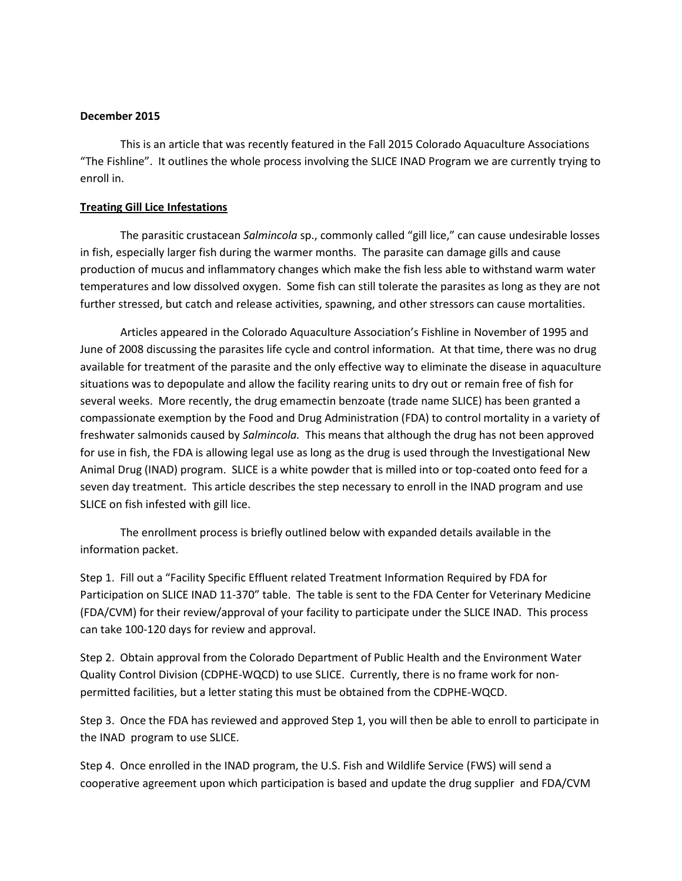## **December 2015**

This is an article that was recently featured in the Fall 2015 Colorado Aquaculture Associations "The Fishline". It outlines the whole process involving the SLICE INAD Program we are currently trying to enroll in.

## **Treating Gill Lice Infestations**

The parasitic crustacean *Salmincola* sp., commonly called "gill lice," can cause undesirable losses in fish, especially larger fish during the warmer months. The parasite can damage gills and cause production of mucus and inflammatory changes which make the fish less able to withstand warm water temperatures and low dissolved oxygen. Some fish can still tolerate the parasites as long as they are not further stressed, but catch and release activities, spawning, and other stressors can cause mortalities.

Articles appeared in the Colorado Aquaculture Association's Fishline in November of 1995 and June of 2008 discussing the parasites life cycle and control information. At that time, there was no drug available for treatment of the parasite and the only effective way to eliminate the disease in aquaculture situations was to depopulate and allow the facility rearing units to dry out or remain free of fish for several weeks. More recently, the drug emamectin benzoate (trade name SLICE) has been granted a compassionate exemption by the Food and Drug Administration (FDA) to control mortality in a variety of freshwater salmonids caused by *Salmincola.* This means that although the drug has not been approved for use in fish, the FDA is allowing legal use as long as the drug is used through the Investigational New Animal Drug (INAD) program. SLICE is a white powder that is milled into or top-coated onto feed for a seven day treatment. This article describes the step necessary to enroll in the INAD program and use SLICE on fish infested with gill lice.

The enrollment process is briefly outlined below with expanded details available in the information packet.

Step 1. Fill out a "Facility Specific Effluent related Treatment Information Required by FDA for Participation on SLICE INAD 11-370" table. The table is sent to the FDA Center for Veterinary Medicine (FDA/CVM) for their review/approval of your facility to participate under the SLICE INAD. This process can take 100-120 days for review and approval.

Step 2. Obtain approval from the Colorado Department of Public Health and the Environment Water Quality Control Division (CDPHE-WQCD) to use SLICE. Currently, there is no frame work for nonpermitted facilities, but a letter stating this must be obtained from the CDPHE-WQCD.

Step 3. Once the FDA has reviewed and approved Step 1, you will then be able to enroll to participate in the INAD program to use SLICE.

Step 4. Once enrolled in the INAD program, the U.S. Fish and Wildlife Service (FWS) will send a cooperative agreement upon which participation is based and update the drug supplier and FDA/CVM